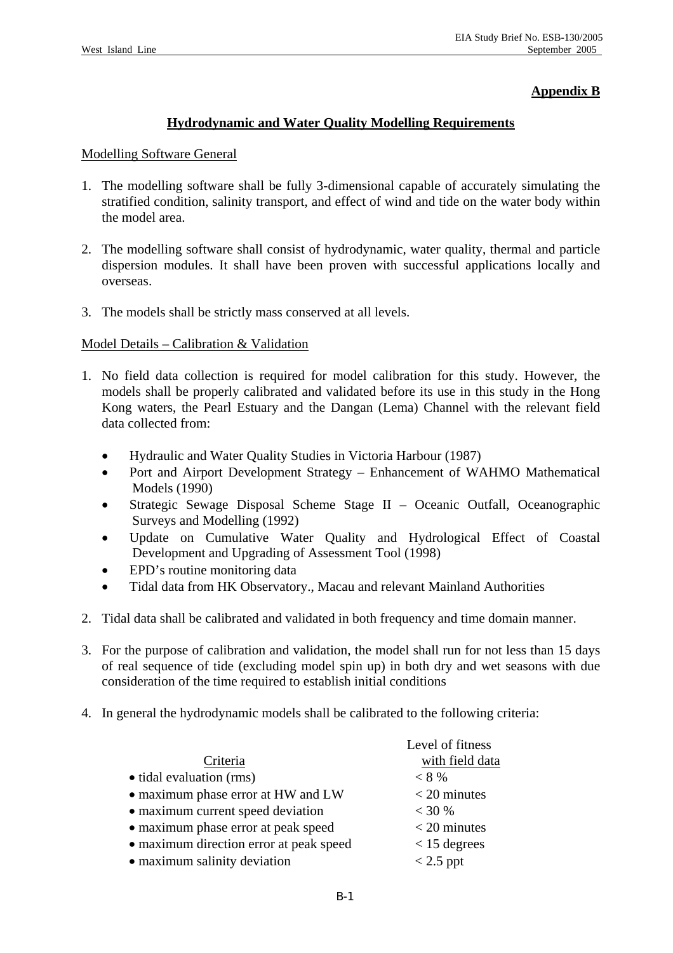# **Appendix B**

## **Hydrodynamic and Water Quality Modelling Requirements**

#### Modelling Software General

- 1. The modelling software shall be fully 3-dimensional capable of accurately simulating the stratified condition, salinity transport, and effect of wind and tide on the water body within the model area.
- 2. The modelling software shall consist of hydrodynamic, water quality, thermal and particle dispersion modules. It shall have been proven with successful applications locally and overseas.
- 3. The models shall be strictly mass conserved at all levels.

### Model Details – Calibration & Validation

- 1. No field data collection is required for model calibration for this study. However, the models shall be properly calibrated and validated before its use in this study in the Hong Kong waters, the Pearl Estuary and the Dangan (Lema) Channel with the relevant field data collected from:
	- Hydraulic and Water Quality Studies in Victoria Harbour (1987)
	- Port and Airport Development Strategy Enhancement of WAHMO Mathematical Models (1990)
	- Strategic Sewage Disposal Scheme Stage II Oceanic Outfall, Oceanographic Surveys and Modelling (1992)
	- Update on Cumulative Water Quality and Hydrological Effect of Coastal Development and Upgrading of Assessment Tool (1998)
	- EPD's routine monitoring data
	- Tidal data from HK Observatory., Macau and relevant Mainland Authorities
- 2. Tidal data shall be calibrated and validated in both frequency and time domain manner.
- 3. For the purpose of calibration and validation, the model shall run for not less than 15 days of real sequence of tide (excluding model spin up) in both dry and wet seasons with due consideration of the time required to establish initial conditions
- 4. In general the hydrodynamic models shall be calibrated to the following criteria:

|                                         | Level of fitness |
|-----------------------------------------|------------------|
| Criteria                                | with field data  |
| • tidal evaluation (rms)                | $< 8 \%$         |
| • maximum phase error at HW and LW      | $<$ 20 minutes   |
| • maximum current speed deviation       | < 30 %           |
| • maximum phase error at peak speed     | $<$ 20 minutes   |
| • maximum direction error at peak speed | $<$ 15 degrees   |
| • maximum salinity deviation            | $< 2.5$ ppt      |